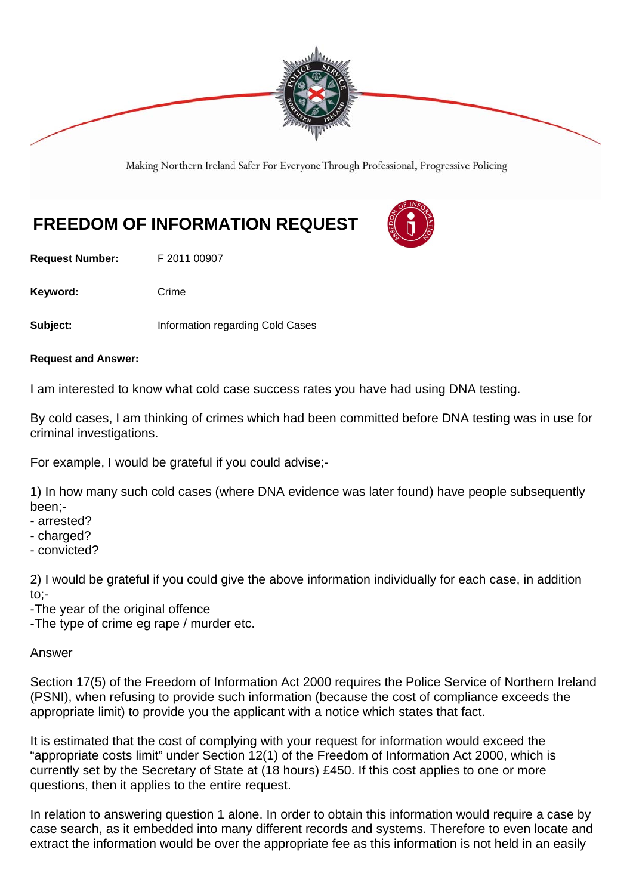

Making Northern Ireland Safer For Everyone Through Professional, Progressive Policing

## **FREEDOM OF INFORMATION REQUEST**

**Request Number:** F 2011 00907

Keyword: Crime

**Subject: Information regarding Cold Cases** 

**Request and Answer:** 

I am interested to know what cold case success rates you have had using DNA testing.

By cold cases, I am thinking of crimes which had been committed before DNA testing was in use for criminal investigations.

For example, I would be grateful if you could advise;-

1) In how many such cold cases (where DNA evidence was later found) have people subsequently been;-

- arrested?
- charged?
- convicted?

2) I would be grateful if you could give the above information individually for each case, in addition to;-

-The year of the original offence

-The type of crime eg rape / murder etc.

## Answer

Section 17(5) of the Freedom of Information Act 2000 requires the Police Service of Northern Ireland (PSNI), when refusing to provide such information (because the cost of compliance exceeds the appropriate limit) to provide you the applicant with a notice which states that fact.

It is estimated that the cost of complying with your request for information would exceed the "appropriate costs limit" under Section 12(1) of the Freedom of Information Act 2000, which is currently set by the Secretary of State at (18 hours) £450. If this cost applies to one or more questions, then it applies to the entire request.

In relation to answering question 1 alone. In order to obtain this information would require a case by case search, as it embedded into many different records and systems. Therefore to even locate and extract the information would be over the appropriate fee as this information is not held in an easily